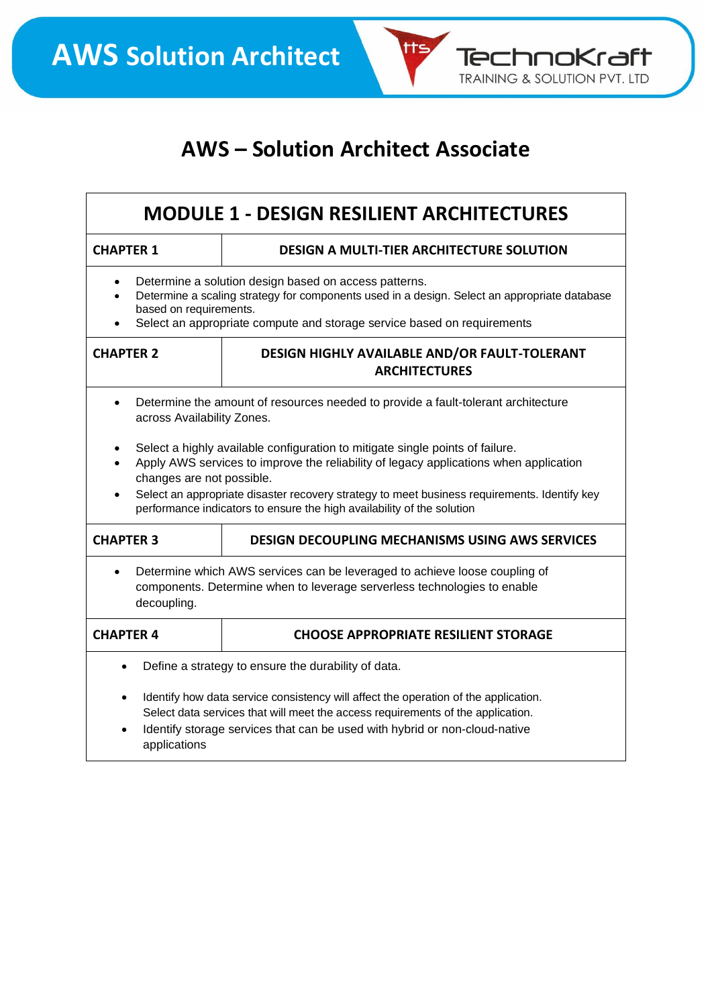

tts

TechnoKraft TRAINING & SOLUTION PVT. LTD

| <b>MODULE 1 - DESIGN RESILIENT ARCHITECTURES</b>                                                                                                                                                                                                           |                                                                                                                                                                                                                                                                                                                                                  |  |
|------------------------------------------------------------------------------------------------------------------------------------------------------------------------------------------------------------------------------------------------------------|--------------------------------------------------------------------------------------------------------------------------------------------------------------------------------------------------------------------------------------------------------------------------------------------------------------------------------------------------|--|
| <b>CHAPTER 1</b>                                                                                                                                                                                                                                           | <b>DESIGN A MULTI-TIER ARCHITECTURE SOLUTION</b>                                                                                                                                                                                                                                                                                                 |  |
| Determine a solution design based on access patterns.<br>Determine a scaling strategy for components used in a design. Select an appropriate database<br>based on requirements.<br>Select an appropriate compute and storage service based on requirements |                                                                                                                                                                                                                                                                                                                                                  |  |
| <b>CHAPTER 2</b>                                                                                                                                                                                                                                           | DESIGN HIGHLY AVAILABLE AND/OR FAULT-TOLERANT<br><b>ARCHITECTURES</b>                                                                                                                                                                                                                                                                            |  |
| Determine the amount of resources needed to provide a fault-tolerant architecture<br>across Availability Zones.                                                                                                                                            |                                                                                                                                                                                                                                                                                                                                                  |  |
| changes are not possible.                                                                                                                                                                                                                                  | Select a highly available configuration to mitigate single points of failure.<br>Apply AWS services to improve the reliability of legacy applications when application<br>Select an appropriate disaster recovery strategy to meet business requirements. Identify key<br>performance indicators to ensure the high availability of the solution |  |
| <b>CHAPTER 3</b>                                                                                                                                                                                                                                           | <b>DESIGN DECOUPLING MECHANISMS USING AWS SERVICES</b>                                                                                                                                                                                                                                                                                           |  |
| Determine which AWS services can be leveraged to achieve loose coupling of<br>components. Determine when to leverage serverless technologies to enable<br>decoupling.                                                                                      |                                                                                                                                                                                                                                                                                                                                                  |  |
| <b>CHAPTER 4</b>                                                                                                                                                                                                                                           | <b>CHOOSE APPROPRIATE RESILIENT STORAGE</b>                                                                                                                                                                                                                                                                                                      |  |
|                                                                                                                                                                                                                                                            | Define a strategy to ensure the durability of data.                                                                                                                                                                                                                                                                                              |  |
| applications                                                                                                                                                                                                                                               | Identify how data service consistency will affect the operation of the application.<br>Select data services that will meet the access requirements of the application.<br>Identify storage services that can be used with hybrid or non-cloud-native                                                                                             |  |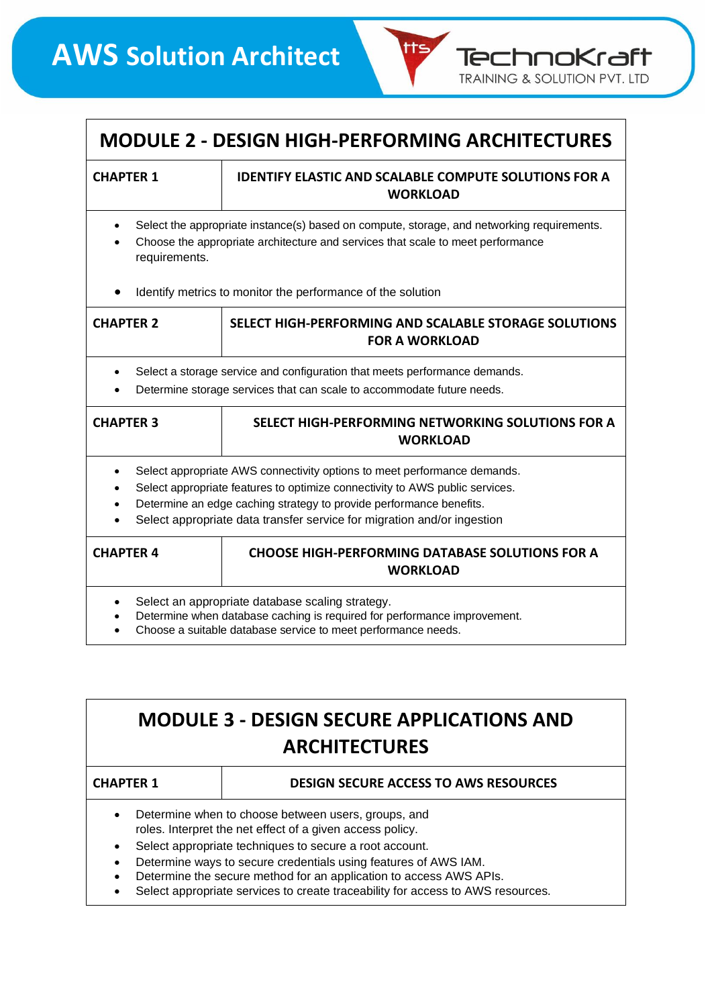

### **MODULE 2 - DESIGN HIGH-PERFORMING ARCHITECTURES**

#### **CHAPTER 1 IDENTIFY ELASTIC AND SCALABLE COMPUTE SOLUTIONS FOR A WORKLOAD**

- Select the appropriate instance(s) based on compute, storage, and networking requirements.
- Choose the appropriate architecture and services that scale to meet performance requirements.
- Identify metrics to monitor the performance of the solution

| <b>CHAPTER 2</b>                                                                                                                                                                                                                                                                                                                                  | SELECT HIGH-PERFORMING AND SCALABLE STORAGE SOLUTIONS<br><b>FOR A WORKLOAD</b> |
|---------------------------------------------------------------------------------------------------------------------------------------------------------------------------------------------------------------------------------------------------------------------------------------------------------------------------------------------------|--------------------------------------------------------------------------------|
| Select a storage service and configuration that meets performance demands.<br>$\bullet$<br>Determine storage services that can scale to accommodate future needs.<br>$\bullet$                                                                                                                                                                    |                                                                                |
| <b>CHAPTER 3</b>                                                                                                                                                                                                                                                                                                                                  | SELECT HIGH-PERFORMING NETWORKING SOLUTIONS FOR A<br><b>WORKLOAD</b>           |
| Select appropriate AWS connectivity options to meet performance demands.<br>Select appropriate features to optimize connectivity to AWS public services.<br>$\bullet$<br>Determine an edge caching strategy to provide performance benefits.<br>$\bullet$<br>Select appropriate data transfer service for migration and/or ingestion<br>$\bullet$ |                                                                                |
| <b>CHAPTER 4</b>                                                                                                                                                                                                                                                                                                                                  | <b>CHOOSE HIGH-PERFORMING DATABASE SOLUTIONS FOR A</b><br><b>WORKLOAD</b>      |
| Select an appropriate database scaling strategy.<br>Determine when database caching is required for performance improvement.                                                                                                                                                                                                                      |                                                                                |

• Choose a suitable database service to meet performance needs.

## **MODULE 3 - DESIGN SECURE APPLICATIONS AND ARCHITECTURES**

| <b>CHAPTER 1</b>                                    | <b>DESIGN SECURE ACCESS TO AWS RESOURCES</b> |
|-----------------------------------------------------|----------------------------------------------|
| Determine when to choose between users, groups, and |                                              |

- roles. Interpret the net effect of a given access policy.
- Select appropriate techniques to secure a root account.
- Determine ways to secure credentials using features of AWS IAM.
- Determine the secure method for an application to access AWS APIs.
- Select appropriate services to create traceability for access to AWS resources.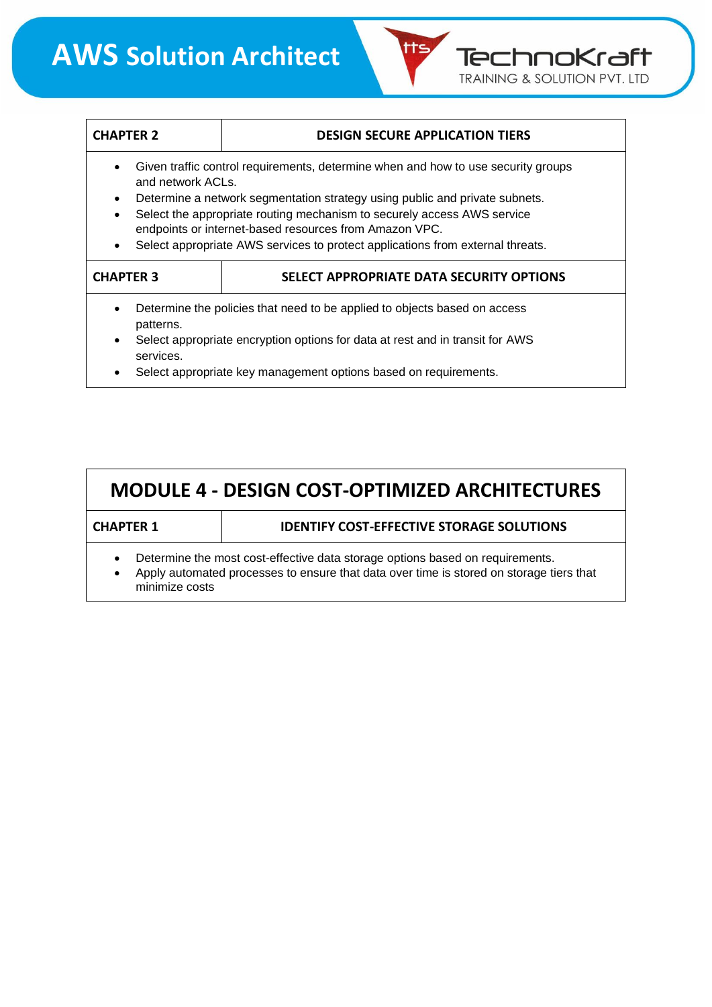## **AWS Solution Architect**

| <b>CHAPTER 2</b>                                                                                                                                                                                                                                                                                                                                                                                                                                    | <b>DESIGN SECURE APPLICATION TIERS</b>                                                                                                                                                                                         |  |
|-----------------------------------------------------------------------------------------------------------------------------------------------------------------------------------------------------------------------------------------------------------------------------------------------------------------------------------------------------------------------------------------------------------------------------------------------------|--------------------------------------------------------------------------------------------------------------------------------------------------------------------------------------------------------------------------------|--|
| Given traffic control requirements, determine when and how to use security groups<br>$\bullet$<br>and network ACLs.<br>Determine a network segmentation strategy using public and private subnets.<br>$\bullet$<br>Select the appropriate routing mechanism to securely access AWS service<br>endpoints or internet-based resources from Amazon VPC.<br>Select appropriate AWS services to protect applications from external threats.<br>$\bullet$ |                                                                                                                                                                                                                                |  |
| <b>CHAPTER 3</b>                                                                                                                                                                                                                                                                                                                                                                                                                                    | SELECT APPROPRIATE DATA SECURITY OPTIONS                                                                                                                                                                                       |  |
| ٠<br>patterns.<br>$\bullet$<br>services.<br>٠                                                                                                                                                                                                                                                                                                                                                                                                       | Determine the policies that need to be applied to objects based on access<br>Select appropriate encryption options for data at rest and in transit for AWS<br>Select appropriate key management options based on requirements. |  |

tts,

TechnoKraft TRAINING & SOLUTION PVT. LTD

| <b>MODULE 4 - DESIGN COST-OPTIMIZED ARCHITECTURES</b>                                                                                                                                      |                                                  |  |
|--------------------------------------------------------------------------------------------------------------------------------------------------------------------------------------------|--------------------------------------------------|--|
| <b>CHAPTER 1</b>                                                                                                                                                                           | <b>IDENTIFY COST-EFFECTIVE STORAGE SOLUTIONS</b> |  |
| Determine the most cost-effective data storage options based on requirements.<br>Apply automated processes to ensure that data over time is stored on storage tiers that<br>minimize costs |                                                  |  |